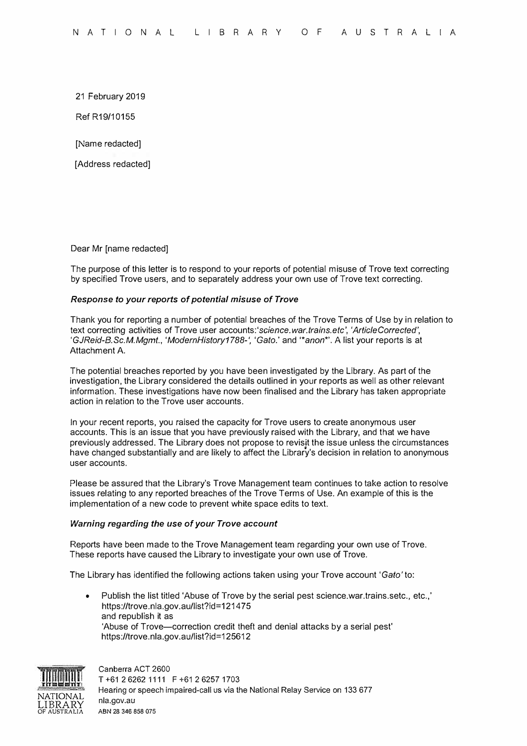21 February 2019

Ref R19/10155

[Name redacted]

[Address redacted]

### Dear Mr [name redacted]

The purpose of this letter is to respond to your reports of potential misuse of Trove text correcting by specified Trove users, and to separately address your own use of Trove text correcting.

### *Response to your reports of potential misuse of Trove*

Thank you for reporting a number of potential breaches of the Trove Terms of Use by in relation to text correcting activities of Trove user accounts:'science. *war.trains.etc', 'Article Corrected', 'GJReid-B.Sc.M.Mgmt., 'ModernHistory1788-', 'Gato.'* and *'\*anon\*'.* A list your reports is at Attachment A.

The potential breaches reported by you have been investigated by the Library. As part of the investigation, the Library considered the details outlined in your reports as well as other relevant information. These investigations have now been finalised and the Library has taken appropriate action in relation to the Trove user accounts.

In your recent reports, you raised the capacity for Trove users to create anonymous user accounts. This is an issue that you have previously raised with the Library, and that we have previously addressed. The Library does not propose to revisit the issue unless the circumstances have changed substantially and are likely to affect the Library's decision in relation to anonymous user accounts.

Please be assured that the Library's Trove Management team continues to take action to resolve issues relating to any reported breaches of the Trove Terms of Use. An example of this is the implementation of a new code to prevent white space edits to text.

### *Warning regarding the use of your Trove account*

Reports have been made to the Trove Management team regarding your own use of Trove. These reports have caused the Library to investigate your own use of Trove.

The Library has identified the following actions taken using your Trove account *'Gato'* to:

• Publish the list titled 'Abuse of Trove by the serial pest science.war.trains.setc., etc.,' https://trove.nla.gov.au/list?id=121475 and republish it as 'Abuse of Trove-correction credit theft and denial attacks by a serial pest' https://trove.nla.gov.au/list?id=125612



Canberra ACT 2600 T +61 2 6262 1111 F +61 2 6257 1703 Hearing or speech impaired-call us via the National Relay Service on 133 677 **nla.gov.au ABN 28 346 858 075**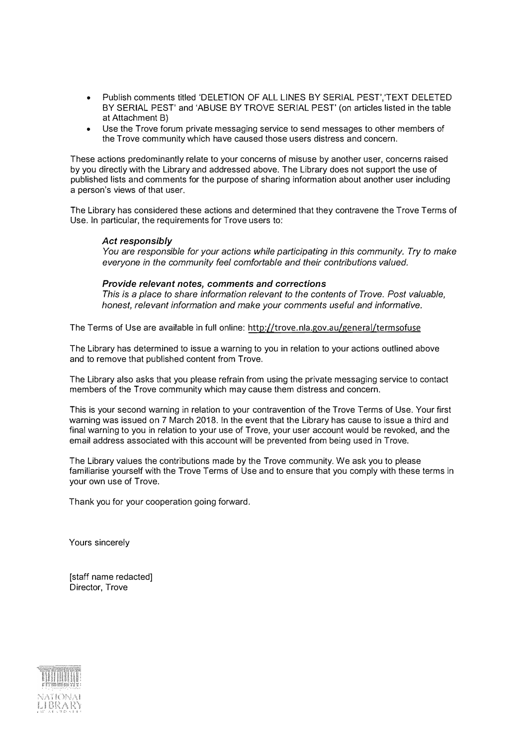- Publish comments titled 'DELETION OF ALL LINES BY SERIAL PEST','TEXT DELETED BY SERIAL PEST' and 'ABUSE BY TROVE SERIAL PEST' (on articles listed in the table at Attachment B)
- Use the Trove forum private messaging service to send messages to other members of the Trove community which have caused those users distress and concern.

These actions predominantly relate to your concerns of misuse by another user, concerns raised by you directly with the Library and addressed above. The Library does not support the use of published lists and comments for the purpose of sharing information about another user including a person's views of that user.

The Library has considered these actions and determined that they contravene the Trove Terms of Use. In particular, the requirements for Trove users to:

## *Act responsibly*

*You are responsible for your actions while participating in this community. Try to make everyone in the community feel comfortable and their contributions valued.* 

# *Provide relevant notes, comments and corrections*

*This* is a *place to share information relevant to the contents of Trove. Post valuable, honest, relevant information and make your comments useful and informative.* 

The Terms of Use are available in full online: http://trove.nla.gov.au/general/termsofuse

The Library has determined to issue a warning to you in relation to your actions outlined above and to remove that published content from Trove.

The Library also asks that you please refrain from using the private messaging service to contact members of the Trove community which may cause them distress and concern.

This is your second warning in relation to your contravention of the Trove Terms of Use. Your first warning was issued on 7 March 2018. In the event that the Library has cause to issue a third and final warning to you in relation to your use of Trove, your user account would be revoked, and the email address associated with this account will be prevented from being used in Trove.

The Library values the contributions made by the Trove community. We ask you to please familiarise yourself with the Trove Terms of Use and to ensure that you comply with these terms in your own use of Trove.

Thank you for your cooperation going forward.

Yours sincerely

[staff name redacted] Director, Trove

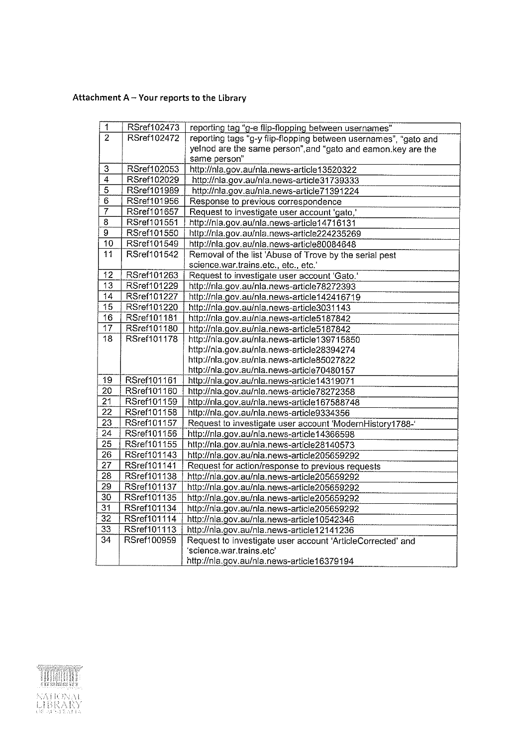# Attachment A - Your reports to the Library

| 1               | RSref102473        | reporting tag "g-e flip-flopping between usernames"             |
|-----------------|--------------------|-----------------------------------------------------------------|
| $\overline{2}$  | <b>RSref102472</b> | reporting tags "g-y flip-flopping between usernames", "gato and |
|                 |                    | yelnod are the same person", and "gato and eamon.key are the    |
|                 |                    | same person"                                                    |
| 3               | RSref102053        | http://nla.gov.au/nla.news-article13520322                      |
| $\overline{4}$  | RSref102029        | http://nla.gov.au/nla.news-article31739333                      |
| 5               | RSref101989        | http://nla.gov.au/nla.news-article71391224                      |
| $\overline{6}$  | RSref101956        | Response to previous correspondence                             |
| $\overline{7}$  | RSref101657        | Request to investigate user account 'gato,'                     |
| $\overline{8}$  | RSref101551        | http://nla.gov.au/nla.news-article14716131                      |
| $\overline{9}$  | <b>RSref101550</b> | http://nla.gov.au/nla.news-article224235269                     |
| 10              | RSref101549        | http://nla.gov.au/nla.news-article80084648                      |
| 11              | RSref101542        | Removal of the list 'Abuse of Trove by the serial pest          |
|                 |                    | science.war.trains.etc., etc., etc.'                            |
| $\overline{12}$ | RSref101263        | Request to investigate user account 'Gato.'                     |
| 13              | RSref101229        | http://nla.gov.au/nla.news-article78272393                      |
| 14              | RSref101227        | http://nla.gov.au/nla.news-article142416719                     |
| 15              | RSref101220        | http://nla.gov.au/nla.news-article3031143                       |
| 16              | RSref101181        | http://nla.gov.au/nla.news-article5187842                       |
| 17              | RSref101180        | http://nla.gov.au/nla.news-article5187842                       |
| $\overline{18}$ | RSref101178        | http://nla.gov.au/nla.news-article139715850                     |
|                 |                    | http://nla.gov.au/nla.news-article28394274                      |
|                 |                    | http://nla.gov.au/nla.news-article85027822                      |
|                 |                    | http://nla.gov.au/nla.news-article70480157                      |
| 19              | RSref101161        | http://nla.gov.au/nla.news-article14319071                      |
| 20              | RSref101160        | http://nla.gov.au/nla.news-article78272358                      |
| 21              | RSref101159        | http://nla.gov.au/nla.news-article167588748                     |
| $\overline{22}$ | RSref101158        | http://nla.gov.au/nla.news-article9334356                       |
| 23              | RSref101157        | Request to investigate user account 'ModernHistory1788-'        |
| 24              | RSref101156        | http://nla.gov.au/nla.news-article14366598                      |
| 25              | RSref101155        | http://nla.gov.au/nla.news-article28140573                      |
| 26              | RSref101143        | http://nla.gov.au/nla.news-article205659292                     |
| 27              | RSref101141        | Request for action/response to previous requests                |
| $\overline{28}$ | RSref101138        | http://nla.gov.au/nla.news-article205659292                     |
| 29              | RSref101137        | http://nla.gov.au/nla.news-article205659292                     |
| 30              | RSref101135        | http://nla.gov.au/nla.news-article205659292                     |
| 31              | RSref101134        | http://nla.gov.au/nla.news-article205659292                     |
| $\overline{32}$ | RSref101114        | http://nla.gov.au/nla.news-article10542346                      |
| $\overline{33}$ | RSref101113        | http://nla.gov.au/nla.news-article12141236                      |
| 34              | RSref100959        | Request to investigate user account 'ArticleCorrected' and      |
|                 |                    | 'science.war.trains.etc'                                        |
|                 |                    | http://nla.gov.au/nla.news-article16379194                      |